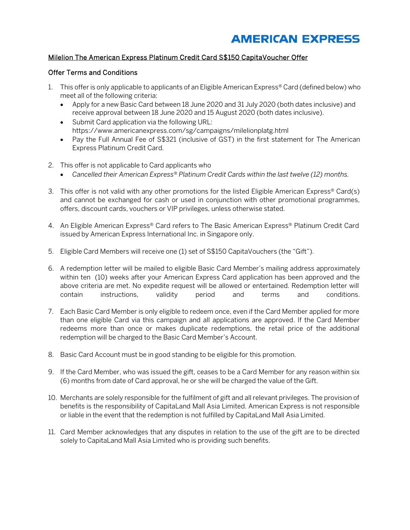## **AMERICAN EXPRESS**

## Milelion The American Express Platinum Credit Card S\$150 CapitaVoucher Offer

## Offer Terms and Conditions

- 1. This offer is only applicable to applicants of an Eligible American Express<sup>®</sup> Card (defined below) who meet all of the following criteria:
	- Apply for a new Basic Card between 18 June 2020 and 31 July 2020 (both dates inclusive) and receive approval between 18 June 2020 and 15 August 2020 (both dates inclusive).
	- Submit Card application via the following URL: https://www.americanexpress.com/sg/campaigns/milelionplatg.html
	- Pay the Full Annual Fee of S\$321 (inclusive of GST) in the first statement for The American Express Platinum Credit Card.
- 2. This offer is not applicable to Card applicants who
	- *Cancelled their American Express® Platinum Credit Cards within the last twelve (12) months.*
- 3. This offer is not valid with any other promotions for the listed Eligible American Express® Card(s) and cannot be exchanged for cash or used in conjunction with other promotional programmes, offers, discount cards, vouchers or VIP privileges, unless otherwise stated.
- 4. An Eligible American Express® Card refers to The Basic American Express® Platinum Credit Card issued by American Express International Inc. in Singapore only.
- 5. Eligible Card Members will receive one (1) set of S\$150 CapitaVouchers (the "Gift").
- 6. A redemption letter will be mailed to eligible Basic Card Member's mailing address approximately within ten (10) weeks after your American Express Card application has been approved and the above criteria are met. No expedite request will be allowed or entertained. Redemption letter will contain instructions, validity period and terms and conditions.
- 7. Each Basic Card Member is only eligible to redeem once, even if the Card Member applied for more than one eligible Card via this campaign and all applications are approved. If the Card Member redeems more than once or makes duplicate redemptions, the retail price of the additional redemption will be charged to the Basic Card Member's Account.
- 8. Basic Card Account must be in good standing to be eligible for this promotion.
- 9. If the Card Member, who was issued the gift, ceases to be a Card Member for any reason within six (6) months from date of Card approval, he or she will be charged the value of the Gift.
- 10. Merchants are solely responsible for the fulfilment of gift and all relevant privileges. The provision of benefits is the responsibility of CapitaLand Mall Asia Limited. American Express is not responsible or liable in the event that the redemption is not fulfilled by CapitaLand Mall Asia Limited.
- 11. Card Member acknowledges that any disputes in relation to the use of the gift are to be directed solely to CapitaLand Mall Asia Limited who is providing such benefits.